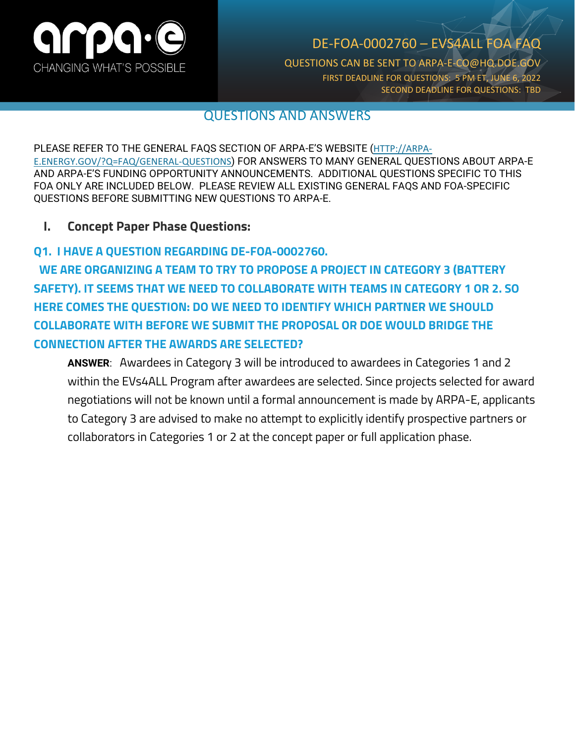

# DE-FOA-0002760 – EVS4ALL FOA FAQ

QUESTIONS CAN BE SENT TO ARPA-E-CO@HQ.DOE.GOV FIRST DEADLINE FOR QUESTIONS: 5 PM ET, JUNE 6, 2022 SECOND DEADLINE FOR QUESTIONS: TBD

## QUESTIONS AND ANSWERS

PLEASE REFER TO THE GENERAL FAQS SECTION OF ARPA-E'S WEBSITE ([HTTP://ARPA-](http://arpa-e.energy.gov/?Q=FAQ/GENERAL-QUESTIONS)[E.ENERGY.GOV/?Q=FAQ/GENERAL-QUESTIONS](http://arpa-e.energy.gov/?Q=FAQ/GENERAL-QUESTIONS)) FOR ANSWERS TO MANY GENERAL QUESTIONS ABOUT ARPA-E AND ARPA-E'S FUNDING OPPORTUNITY ANNOUNCEMENTS. ADDITIONAL QUESTIONS SPECIFIC TO THIS FOA ONLY ARE INCLUDED BELOW. PLEASE REVIEW ALL EXISTING GENERAL FAQS AND FOA-SPECIFIC QUESTIONS BEFORE SUBMITTING NEW QUESTIONS TO ARPA-E.

### **I. Concept Paper Phase Questions:**

### **Q1. I HAVE A QUESTION REGARDING DE-FOA-0002760.**

**WE ARE ORGANIZING A TEAM TO TRY TO PROPOSE A PROJECT IN CATEGORY 3 (BATTERY SAFETY). IT SEEMS THAT WE NEED TO COLLABORATE WITH TEAMS IN CATEGORY 1 OR 2. SO HERE COMES THE QUESTION: DO WE NEED TO IDENTIFY WHICH PARTNER WE SHOULD COLLABORATE WITH BEFORE WE SUBMIT THE PROPOSAL OR DOE WOULD BRIDGE THE CONNECTION AFTER THE AWARDS ARE SELECTED?**

**ANSWER**: Awardees in Category 3 will be introduced to awardees in Categories 1 and 2 within the EVs4ALL Program after awardees are selected. Since projects selected for award negotiations will not be known until a formal announcement is made by ARPA-E, applicants to Category 3 are advised to make no attempt to explicitly identify prospective partners or collaborators in Categories 1 or 2 at the concept paper or full application phase.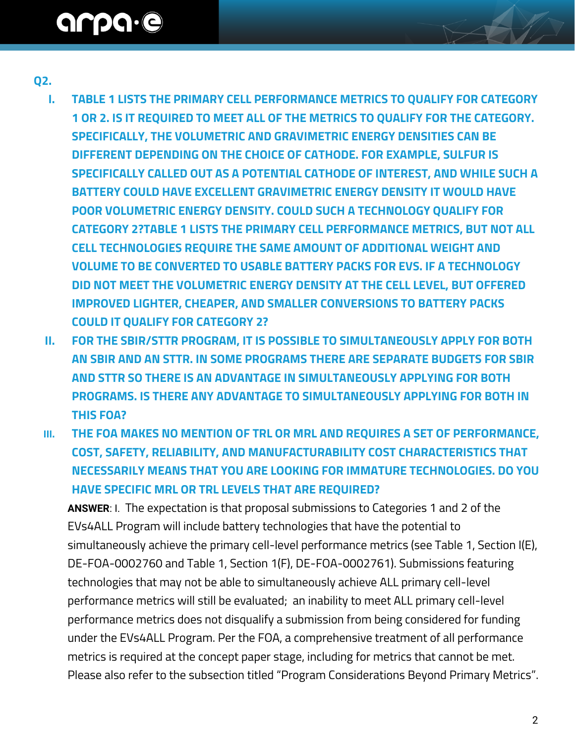# arpa.e

### **Q2.**

- **I. TABLE 1 LISTS THE PRIMARY CELL PERFORMANCE METRICS TO QUALIFY FOR CATEGORY 1 OR 2. IS IT REQUIRED TO MEET ALL OF THE METRICS TO QUALIFY FOR THE CATEGORY. SPECIFICALLY, THE VOLUMETRIC AND GRAVIMETRIC ENERGY DENSITIES CAN BE DIFFERENT DEPENDING ON THE CHOICE OF CATHODE. FOR EXAMPLE, SULFUR IS SPECIFICALLY CALLED OUT AS A POTENTIAL CATHODE OF INTEREST, AND WHILE SUCH A BATTERY COULD HAVE EXCELLENT GRAVIMETRIC ENERGY DENSITY IT WOULD HAVE POOR VOLUMETRIC ENERGY DENSITY. COULD SUCH A TECHNOLOGY QUALIFY FOR CATEGORY 2?TABLE 1 LISTS THE PRIMARY CELL PERFORMANCE METRICS, BUT NOT ALL CELL TECHNOLOGIES REQUIRE THE SAME AMOUNT OF ADDITIONAL WEIGHT AND VOLUME TO BE CONVERTED TO USABLE BATTERY PACKS FOR EVS. IF A TECHNOLOGY DID NOT MEET THE VOLUMETRIC ENERGY DENSITY AT THE CELL LEVEL, BUT OFFERED IMPROVED LIGHTER, CHEAPER, AND SMALLER CONVERSIONS TO BATTERY PACKS COULD IT QUALIFY FOR CATEGORY 2?**
- **II. FOR THE SBIR/STTR PROGRAM, IT IS POSSIBLE TO SIMULTANEOUSLY APPLY FOR BOTH AN SBIR AND AN STTR. IN SOME PROGRAMS THERE ARE SEPARATE BUDGETS FOR SBIR AND STTR SO THERE IS AN ADVANTAGE IN SIMULTANEOUSLY APPLYING FOR BOTH PROGRAMS. IS THERE ANY ADVANTAGE TO SIMULTANEOUSLY APPLYING FOR BOTH IN THIS FOA?**
- **III. THE FOA MAKES NO MENTION OF TRL OR MRL AND REQUIRES A SET OF PERFORMANCE, COST, SAFETY, RELIABILITY, AND MANUFACTURABILITY COST CHARACTERISTICS THAT NECESSARILY MEANS THAT YOU ARE LOOKING FOR IMMATURE TECHNOLOGIES. DO YOU HAVE SPECIFIC MRL OR TRL LEVELS THAT ARE REQUIRED?**

**ANSWER**: I. The expectation is that proposal submissions to Categories 1 and 2 of the EVs4ALL Program will include battery technologies that have the potential to simultaneously achieve the primary cell-level performance metrics (see Table 1, Section I(E), DE-FOA-0002760 and Table 1, Section 1(F), DE-FOA-0002761). Submissions featuring technologies that may not be able to simultaneously achieve ALL primary cell-level performance metrics will still be evaluated; an inability to meet ALL primary cell-level performance metrics does not disqualify a submission from being considered for funding under the EVs4ALL Program. Per the FOA, a comprehensive treatment of all performance metrics is required at the concept paper stage, including for metrics that cannot be met. Please also refer to the subsection titled "Program Considerations Beyond Primary Metrics".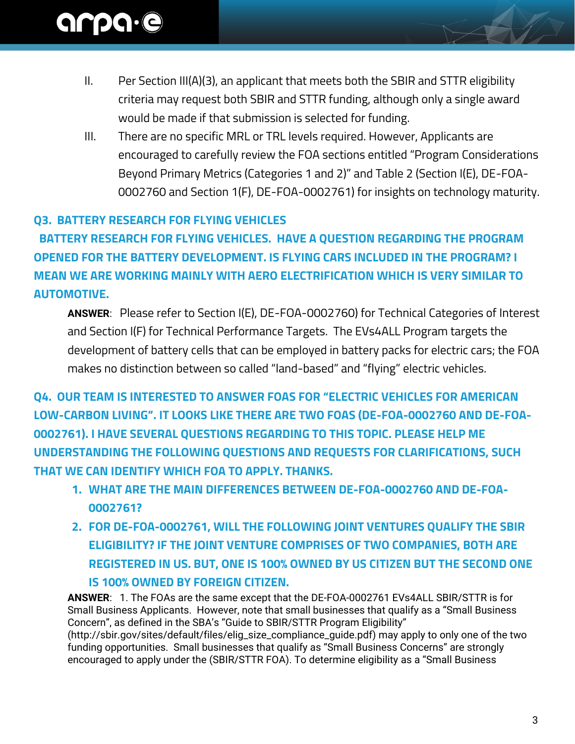- II. Per Section III(A)(3), an applicant that meets both the SBIR and STTR eligibility criteria may request both SBIR and STTR funding, although only a single award would be made if that submission is selected for funding.
- III. There are no specific MRL or TRL levels required. However, Applicants are encouraged to carefully review the FOA sections entitled "Program Considerations Beyond Primary Metrics (Categories 1 and 2)" and Table 2 (Section I(E), DE-FOA-0002760 and Section 1(F), DE-FOA-0002761) for insights on technology maturity.

# **Q3. BATTERY RESEARCH FOR FLYING VEHICLES**

 **BATTERY RESEARCH FOR FLYING VEHICLES. HAVE A QUESTION REGARDING THE PROGRAM OPENED FOR THE BATTERY DEVELOPMENT. IS FLYING CARS INCLUDED IN THE PROGRAM? I MEAN WE ARE WORKING MAINLY WITH AERO ELECTRIFICATION WHICH IS VERY SIMILAR TO AUTOMOTIVE.** 

**ANSWER**: Please refer to Section I(E), DE-FOA-0002760) for Technical Categories of Interest and Section I(F) for Technical Performance Targets. The EVs4ALL Program targets the development of battery cells that can be employed in battery packs for electric cars; the FOA makes no distinction between so called "land-based" and "flying" electric vehicles.

**Q4. OUR TEAM IS INTERESTED TO ANSWER FOAS FOR "ELECTRIC VEHICLES FOR AMERICAN LOW-CARBON LIVING". IT LOOKS LIKE THERE ARE TWO FOAS (DE-FOA-0002760 AND DE-FOA-0002761). I HAVE SEVERAL QUESTIONS REGARDING TO THIS TOPIC. PLEASE HELP ME UNDERSTANDING THE FOLLOWING QUESTIONS AND REQUESTS FOR CLARIFICATIONS, SUCH THAT WE CAN IDENTIFY WHICH FOA TO APPLY. THANKS.**

- **1. WHAT ARE THE MAIN DIFFERENCES BETWEEN DE-FOA-0002760 AND DE-FOA-0002761?**
- **2. FOR DE-FOA-0002761, WILL THE FOLLOWING JOINT VENTURES QUALIFY THE SBIR ELIGIBILITY? IF THE JOINT VENTURE COMPRISES OF TWO COMPANIES, BOTH ARE REGISTERED IN US. BUT, ONE IS 100% OWNED BY US CITIZEN BUT THE SECOND ONE IS 100% OWNED BY FOREIGN CITIZEN.**

**ANSWER**: 1. The FOAs are the same except that the DE-FOA-0002761 EVs4ALL SBIR/STTR is for Small Business Applicants. However, note that small businesses that qualify as a "Small Business Concern", as defined in the SBA's "Guide to SBIR/STTR Program Eligibility" (http://sbir.gov/sites/default/files/elig\_size\_compliance\_guide.pdf) may apply to only one of the two funding opportunities. Small businesses that qualify as "Small Business Concerns" are strongly encouraged to apply under the (SBIR/STTR FOA). To determine eligibility as a "Small Business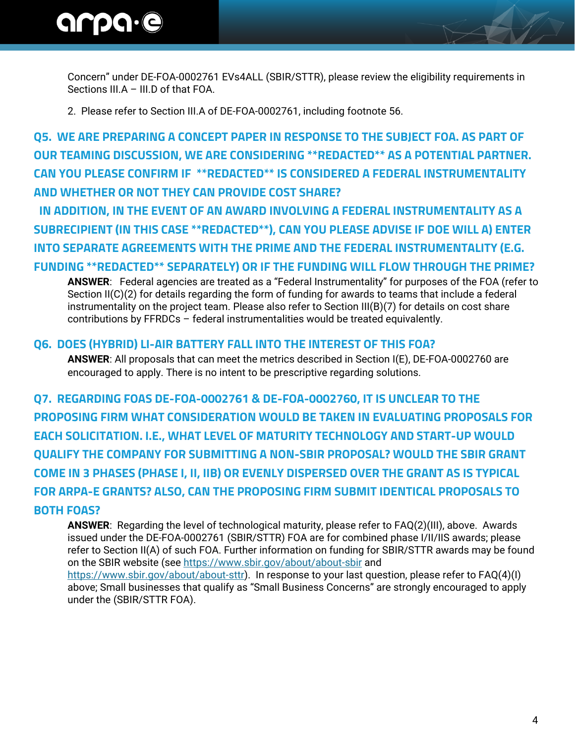# arpa.e

Concern" under DE-FOA-0002761 EVs4ALL (SBIR/STTR), please review the eligibility requirements in Sections III.A – III.D of that FOA.

2. Please refer to Section III.A of DE-FOA-0002761, including footnote 56.

**Q5. WE ARE PREPARING A CONCEPT PAPER IN RESPONSE TO THE SUBJECT FOA. AS PART OF OUR TEAMING DISCUSSION, WE ARE CONSIDERING \*\*REDACTED\*\* AS A POTENTIAL PARTNER. CAN YOU PLEASE CONFIRM IF \*\*REDACTED\*\* IS CONSIDERED A FEDERAL INSTRUMENTALITY AND WHETHER OR NOT THEY CAN PROVIDE COST SHARE?** 

 **IN ADDITION, IN THE EVENT OF AN AWARD INVOLVING A FEDERAL INSTRUMENTALITY AS A SUBRECIPIENT (IN THIS CASE \*\*REDACTED\*\*), CAN YOU PLEASE ADVISE IF DOE WILL A) ENTER INTO SEPARATE AGREEMENTS WITH THE PRIME AND THE FEDERAL INSTRUMENTALITY (E.G.** 

# **FUNDING \*\*REDACTED\*\* SEPARATELY) OR IF THE FUNDING WILL FLOW THROUGH THE PRIME?**

**ANSWER**: Federal agencies are treated as a "Federal Instrumentality" for purposes of the FOA (refer to Section II(C)(2) for details regarding the form of funding for awards to teams that include a federal instrumentality on the project team. Please also refer to Section III(B)(7) for details on cost share contributions by FFRDCs – federal instrumentalities would be treated equivalently.

### **Q6. DOES (HYBRID) LI-AIR BATTERY FALL INTO THE INTEREST OF THIS FOA?**

**ANSWER**: All proposals that can meet the metrics described in Section I(E), DE-FOA-0002760 are encouraged to apply. There is no intent to be prescriptive regarding solutions.

**Q7. REGARDING FOAS DE-FOA-0002761 & DE-FOA-0002760, IT IS UNCLEAR TO THE PROPOSING FIRM WHAT CONSIDERATION WOULD BE TAKEN IN EVALUATING PROPOSALS FOR EACH SOLICITATION. I.E., WHAT LEVEL OF MATURITY TECHNOLOGY AND START-UP WOULD QUALIFY THE COMPANY FOR SUBMITTING A NON-SBIR PROPOSAL? WOULD THE SBIR GRANT COME IN 3 PHASES (PHASE I, II, IIB) OR EVENLY DISPERSED OVER THE GRANT AS IS TYPICAL FOR ARPA-E GRANTS? ALSO, CAN THE PROPOSING FIRM SUBMIT IDENTICAL PROPOSALS TO BOTH FOAS?**

**ANSWER**: Regarding the level of technological maturity, please refer to FAQ(2)(III), above. Awards issued under the DE-FOA-0002761 (SBIR/STTR) FOA are for combined phase I/II/IIS awards; please refer to Section II(A) of such FOA. Further information on funding for SBIR/STTR awards may be found on the SBIR website (see<https://www.sbir.gov/about/about-sbir> and [https://www.sbir.gov/about/about-sttr\)](https://www.sbir.gov/about/about-sttr). In response to your last question, please refer to FAQ(4)(I) above; Small businesses that qualify as "Small Business Concerns" are strongly encouraged to apply under the (SBIR/STTR FOA).